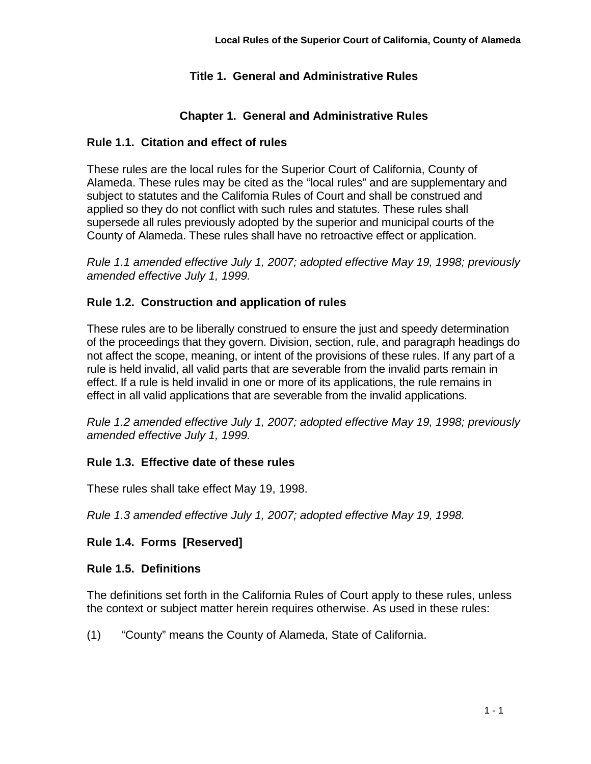# **Title 1. General and Administrative Rules**

# **Chapter 1. General and Administrative Rules**

## **Rule 1.1. Citation and effect of rules**

These rules are the local rules for the Superior Court of California, County of Alameda. These rules may be cited as the "local rules" and are supplementary and subject to statutes and the California Rules of Court and shall be construed and applied so they do not conflict with such rules and statutes. These rules shall supersede all rules previously adopted by the superior and municipal courts of the County of Alameda. These rules shall have no retroactive effect or application.

*Rule 1.1 amended effective July 1, 2007; adopted effective May 19, 1998; previously amended effective July 1, 1999.* 

## **Rule 1.2. Construction and application of rules**

These rules are to be liberally construed to ensure the just and speedy determination of the proceedings that they govern. Division, section, rule, and paragraph headings do not affect the scope, meaning, or intent of the provisions of these rules. If any part of a rule is held invalid, all valid parts that are severable from the invalid parts remain in effect. If a rule is held invalid in one or more of its applications, the rule remains in effect in all valid applications that are severable from the invalid applications.

*Rule 1.2 amended effective July 1, 2007; adopted effective May 19, 1998; previously amended effective July 1, 1999.*

## **Rule 1.3. Effective date of these rules**

These rules shall take effect May 19, 1998.

*Rule 1.3 amended effective July 1, 2007; adopted effective May 19, 1998.*

## **Rule 1.4. Forms [Reserved]**

## **Rule 1.5. Definitions**

The definitions set forth in the California Rules of Court apply to these rules, unless the context or subject matter herein requires otherwise. As used in these rules:

(1) "County" means the County of Alameda, State of California.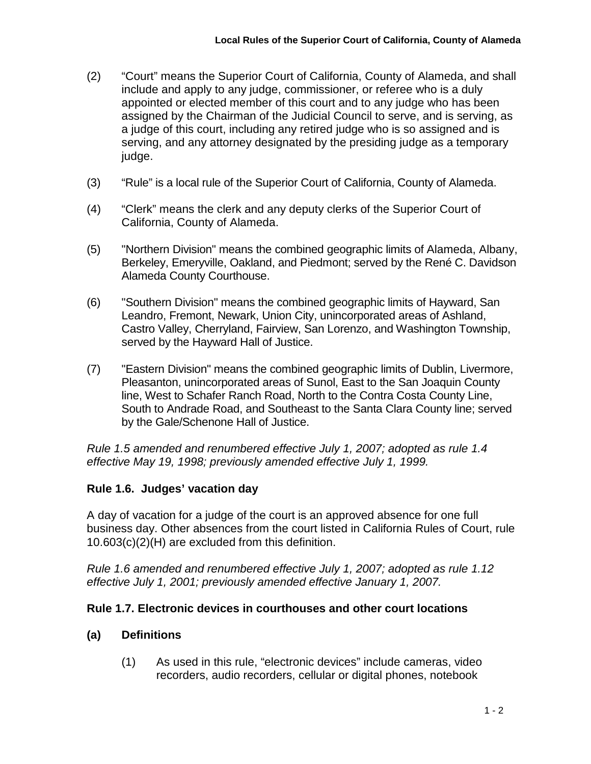- (2) "Court" means the Superior Court of California, County of Alameda, and shall include and apply to any judge, commissioner, or referee who is a duly appointed or elected member of this court and to any judge who has been assigned by the Chairman of the Judicial Council to serve, and is serving, as a judge of this court, including any retired judge who is so assigned and is serving, and any attorney designated by the presiding judge as a temporary judge.
- (3) "Rule" is a local rule of the Superior Court of California, County of Alameda.
- (4) "Clerk" means the clerk and any deputy clerks of the Superior Court of California, County of Alameda.
- (5) "Northern Division" means the combined geographic limits of Alameda, Albany, Berkeley, Emeryville, Oakland, and Piedmont; served by the René C. Davidson Alameda County Courthouse.
- (6) "Southern Division" means the combined geographic limits of Hayward, San Leandro, Fremont, Newark, Union City, unincorporated areas of Ashland, Castro Valley, Cherryland, Fairview, San Lorenzo, and Washington Township, served by the Hayward Hall of Justice.
- (7) "Eastern Division" means the combined geographic limits of Dublin, Livermore, Pleasanton, unincorporated areas of Sunol, East to the San Joaquin County line, West to Schafer Ranch Road, North to the Contra Costa County Line, South to Andrade Road, and Southeast to the Santa Clara County line; served by the Gale/Schenone Hall of Justice.

*Rule 1.5 amended and renumbered effective July 1, 2007; adopted as rule 1.4 effective May 19, 1998; previously amended effective July 1, 1999.*

# **Rule 1.6. Judges' vacation day**

A day of vacation for a judge of the court is an approved absence for one full business day. Other absences from the court listed in California Rules of Court, rule 10.603(c)(2)(H) are excluded from this definition.

*Rule 1.6 amended and renumbered effective July 1, 2007; adopted as rule 1.12 effective July 1, 2001; previously amended effective January 1, 2007.*

# **Rule 1.7. Electronic devices in courthouses and other court locations**

# **(a) Definitions**

(1) As used in this rule, "electronic devices" include cameras, video recorders, audio recorders, cellular or digital phones, notebook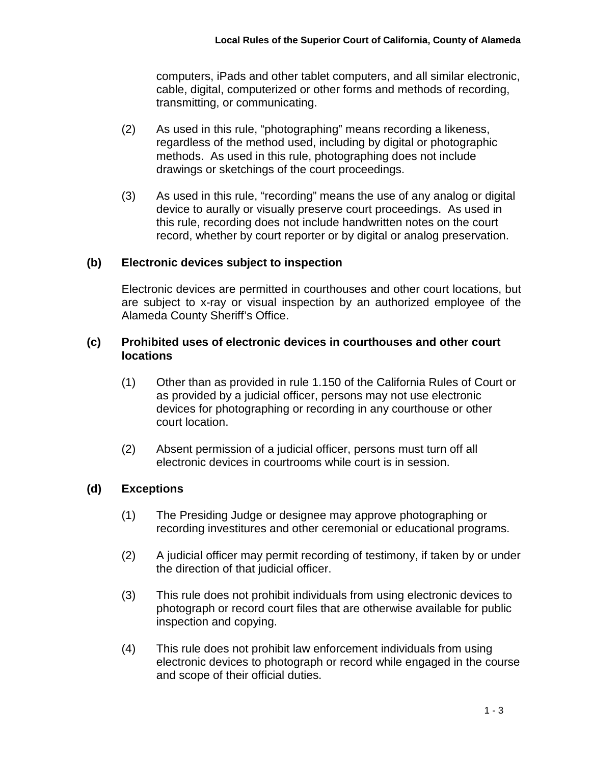computers, iPads and other tablet computers, and all similar electronic, cable, digital, computerized or other forms and methods of recording, transmitting, or communicating.

- (2) As used in this rule, "photographing" means recording a likeness, regardless of the method used, including by digital or photographic methods. As used in this rule, photographing does not include drawings or sketchings of the court proceedings.
- (3) As used in this rule, "recording" means the use of any analog or digital device to aurally or visually preserve court proceedings. As used in this rule, recording does not include handwritten notes on the court record, whether by court reporter or by digital or analog preservation.

## **(b) Electronic devices subject to inspection**

Electronic devices are permitted in courthouses and other court locations, but are subject to x-ray or visual inspection by an authorized employee of the Alameda County Sheriff's Office.

### **(c) Prohibited uses of electronic devices in courthouses and other court locations**

- (1) Other than as provided in rule 1.150 of the California Rules of Court or as provided by a judicial officer, persons may not use electronic devices for photographing or recording in any courthouse or other court location.
- (2) Absent permission of a judicial officer, persons must turn off all electronic devices in courtrooms while court is in session.

## **(d) Exceptions**

- (1) The Presiding Judge or designee may approve photographing or recording investitures and other ceremonial or educational programs.
- (2) A judicial officer may permit recording of testimony, if taken by or under the direction of that judicial officer.
- (3) This rule does not prohibit individuals from using electronic devices to photograph or record court files that are otherwise available for public inspection and copying.
- (4) This rule does not prohibit law enforcement individuals from using electronic devices to photograph or record while engaged in the course and scope of their official duties.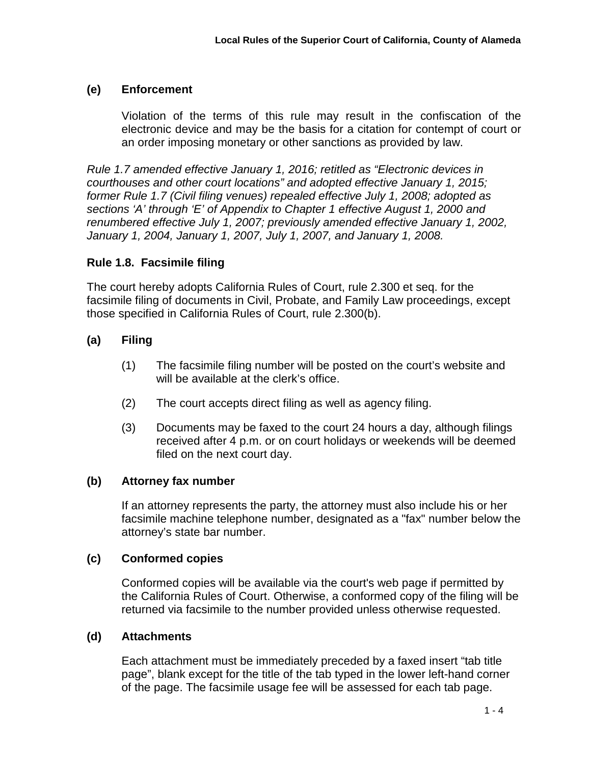# **(e) Enforcement**

Violation of the terms of this rule may result in the confiscation of the electronic device and may be the basis for a citation for contempt of court or an order imposing monetary or other sanctions as provided by law.

*Rule 1.7 amended effective January 1, 2016; retitled as "Electronic devices in courthouses and other court locations" and adopted effective January 1, 2015; former Rule 1.7 (Civil filing venues) repealed effective July 1, 2008; adopted as sections 'A' through 'E' of Appendix to Chapter 1 effective August 1, 2000 and renumbered effective July 1, 2007; previously amended effective January 1, 2002, January 1, 2004, January 1, 2007, July 1, 2007, and January 1, 2008.*

# **Rule 1.8. Facsimile filing**

The court hereby adopts California Rules of Court, rule 2.300 et seq. for the facsimile filing of documents in Civil, Probate, and Family Law proceedings, except those specified in California Rules of Court, rule 2.300(b).

# **(a) Filing**

- (1) The facsimile filing number will be posted on the court's website and will be available at the clerk's office.
- (2) The court accepts direct filing as well as agency filing.
- (3) Documents may be faxed to the court 24 hours a day, although filings received after 4 p.m. or on court holidays or weekends will be deemed filed on the next court day.

# **(b) Attorney fax number**

If an attorney represents the party, the attorney must also include his or her facsimile machine telephone number, designated as a "fax" number below the attorney's state bar number.

## **(c) Conformed copies**

Conformed copies will be available via the court's web page if permitted by the California Rules of Court. Otherwise, a conformed copy of the filing will be returned via facsimile to the number provided unless otherwise requested.

## **(d) Attachments**

Each attachment must be immediately preceded by a faxed insert "tab title page", blank except for the title of the tab typed in the lower left-hand corner of the page. The facsimile usage fee will be assessed for each tab page.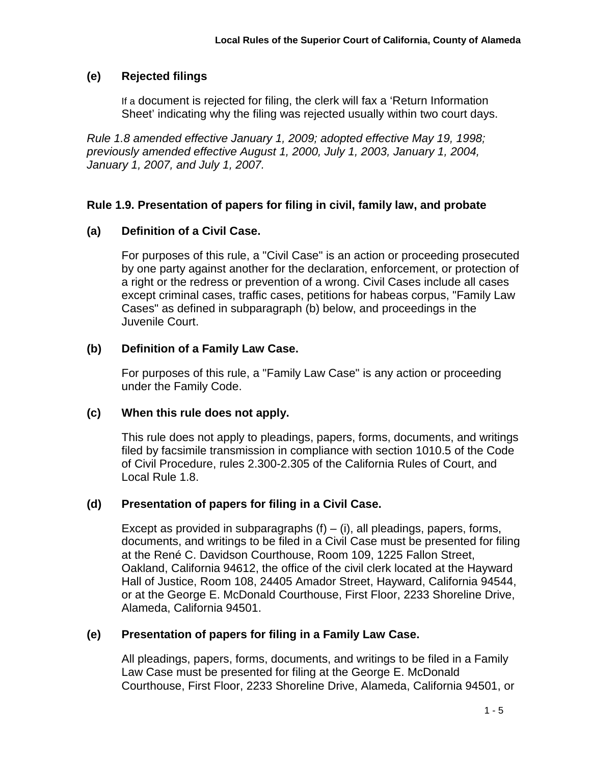# **(e) Rejected filings**

If a document is rejected for filing, the clerk will fax a 'Return Information Sheet' indicating why the filing was rejected usually within two court days.

*Rule 1.8 amended effective January 1, 2009; adopted effective May 19, 1998; previously amended effective August 1, 2000, July 1, 2003, January 1, 2004, January 1, 2007, and July 1, 2007.*

## **Rule 1.9. Presentation of papers for filing in civil, family law, and probate**

# **(a) Definition of a Civil Case.**

For purposes of this rule, a "Civil Case" is an action or proceeding prosecuted by one party against another for the declaration, enforcement, or protection of a right or the redress or prevention of a wrong. Civil Cases include all cases except criminal cases, traffic cases, petitions for habeas corpus, "Family Law Cases" as defined in subparagraph (b) below, and proceedings in the Juvenile Court.

## **(b) Definition of a Family Law Case.**

For purposes of this rule, a "Family Law Case" is any action or proceeding under the Family Code.

## **(c) When this rule does not apply.**

This rule does not apply to pleadings, papers, forms, documents, and writings filed by facsimile transmission in compliance with section 1010.5 of the Code of Civil Procedure, rules 2.300-2.305 of the California Rules of Court, and Local Rule 1.8.

## **(d) Presentation of papers for filing in a Civil Case.**

Except as provided in subparagraphs  $(f) - (i)$ , all pleadings, papers, forms, documents, and writings to be filed in a Civil Case must be presented for filing at the René C. Davidson Courthouse, Room 109, 1225 Fallon Street, Oakland, California 94612, the office of the civil clerk located at the Hayward Hall of Justice, Room 108, 24405 Amador Street, Hayward, California 94544, or at the George E. McDonald Courthouse, First Floor, 2233 Shoreline Drive, Alameda, California 94501.

# **(e) Presentation of papers for filing in a Family Law Case.**

All pleadings, papers, forms, documents, and writings to be filed in a Family Law Case must be presented for filing at the George E. McDonald Courthouse, First Floor, 2233 Shoreline Drive, Alameda, California 94501, or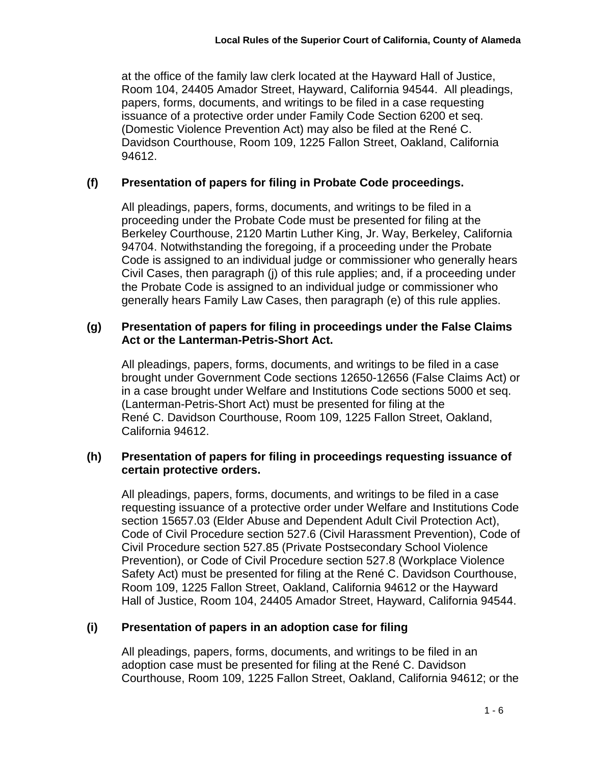at the office of the family law clerk located at the Hayward Hall of Justice, Room 104, 24405 Amador Street, Hayward, California 94544. All pleadings, papers, forms, documents, and writings to be filed in a case requesting issuance of a protective order under Family Code Section 6200 et seq. (Domestic Violence Prevention Act) may also be filed at the René C. Davidson Courthouse, Room 109, 1225 Fallon Street, Oakland, California 94612.

## **(f) Presentation of papers for filing in Probate Code proceedings.**

All pleadings, papers, forms, documents, and writings to be filed in a proceeding under the Probate Code must be presented for filing at the Berkeley Courthouse, 2120 Martin Luther King, Jr. Way, Berkeley, California 94704. Notwithstanding the foregoing, if a proceeding under the Probate Code is assigned to an individual judge or commissioner who generally hears Civil Cases, then paragraph (j) of this rule applies; and, if a proceeding under the Probate Code is assigned to an individual judge or commissioner who generally hears Family Law Cases, then paragraph (e) of this rule applies.

## **(g) Presentation of papers for filing in proceedings under the False Claims Act or the Lanterman-Petris-Short Act.**

All pleadings, papers, forms, documents, and writings to be filed in a case brought under Government Code sections 12650-12656 (False Claims Act) or in a case brought under Welfare and Institutions Code sections 5000 et seq. (Lanterman-Petris-Short Act) must be presented for filing at the René C. Davidson Courthouse, Room 109, 1225 Fallon Street, Oakland, California 94612.

## **(h) Presentation of papers for filing in proceedings requesting issuance of certain protective orders.**

All pleadings, papers, forms, documents, and writings to be filed in a case requesting issuance of a protective order under Welfare and Institutions Code section 15657.03 (Elder Abuse and Dependent Adult Civil Protection Act), Code of Civil Procedure section 527.6 (Civil Harassment Prevention), Code of Civil Procedure section 527.85 (Private Postsecondary School Violence Prevention), or Code of Civil Procedure section 527.8 (Workplace Violence Safety Act) must be presented for filing at the René C. Davidson Courthouse, Room 109, 1225 Fallon Street, Oakland, California 94612 or the Hayward Hall of Justice, Room 104, 24405 Amador Street, Hayward, California 94544.

## **(i) Presentation of papers in an adoption case for filing**

All pleadings, papers, forms, documents, and writings to be filed in an adoption case must be presented for filing at the René C. Davidson Courthouse, Room 109, 1225 Fallon Street, Oakland, California 94612; or the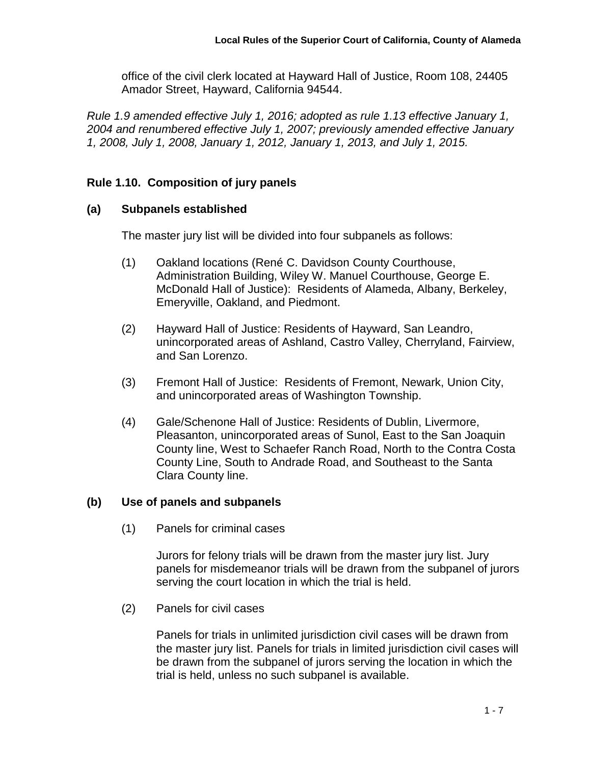office of the civil clerk located at Hayward Hall of Justice, Room 108, 24405 Amador Street, Hayward, California 94544.

*Rule 1.9 amended effective July 1, 2016; adopted as rule 1.13 effective January 1, 2004 and renumbered effective July 1, 2007; previously amended effective January 1, 2008, July 1, 2008, January 1, 2012, January 1, 2013, and July 1, 2015.*

# **Rule 1.10. Composition of jury panels**

## **(a) Subpanels established**

The master jury list will be divided into four subpanels as follows:

- (1) Oakland locations (René C. Davidson County Courthouse, Administration Building, Wiley W. Manuel Courthouse, George E. McDonald Hall of Justice): Residents of Alameda, Albany, Berkeley, Emeryville, Oakland, and Piedmont.
- (2) Hayward Hall of Justice: Residents of Hayward, San Leandro, unincorporated areas of Ashland, Castro Valley, Cherryland, Fairview, and San Lorenzo.
- (3) Fremont Hall of Justice: Residents of Fremont, Newark, Union City, and unincorporated areas of Washington Township.
- (4) Gale/Schenone Hall of Justice: Residents of Dublin, Livermore, Pleasanton, unincorporated areas of Sunol, East to the San Joaquin County line, West to Schaefer Ranch Road, North to the Contra Costa County Line, South to Andrade Road, and Southeast to the Santa Clara County line.

#### **(b) Use of panels and subpanels**

(1) Panels for criminal cases

Jurors for felony trials will be drawn from the master jury list. Jury panels for misdemeanor trials will be drawn from the subpanel of jurors serving the court location in which the trial is held.

(2) Panels for civil cases

Panels for trials in unlimited jurisdiction civil cases will be drawn from the master jury list. Panels for trials in limited jurisdiction civil cases will be drawn from the subpanel of jurors serving the location in which the trial is held, unless no such subpanel is available.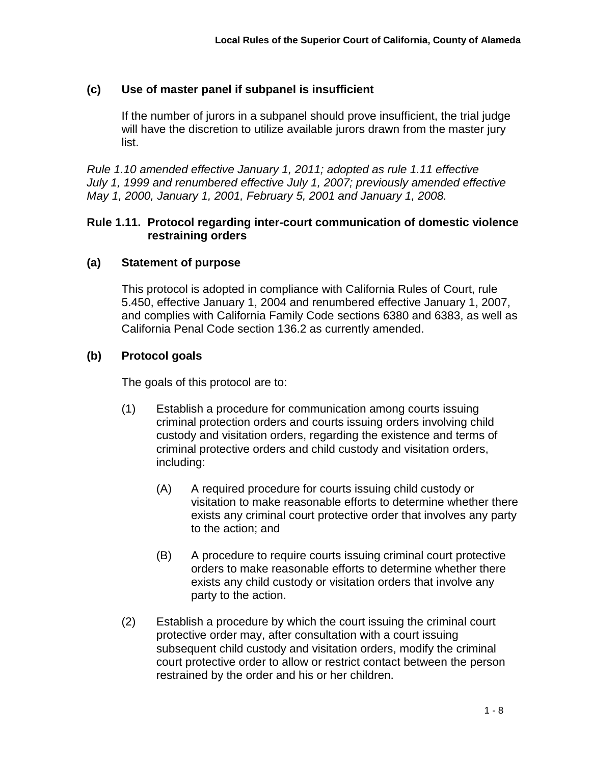# **(c) Use of master panel if subpanel is insufficient**

If the number of jurors in a subpanel should prove insufficient, the trial judge will have the discretion to utilize available jurors drawn from the master jury list.

*Rule 1.10 amended effective January 1, 2011; adopted as rule 1.11 effective July 1, 1999 and renumbered effective July 1, 2007; previously amended effective May 1, 2000, January 1, 2001, February 5, 2001 and January 1, 2008.*

## **Rule 1.11. Protocol regarding inter-court communication of domestic violence restraining orders**

## **(a) Statement of purpose**

This protocol is adopted in compliance with California Rules of Court, rule 5.450, effective January 1, 2004 and renumbered effective January 1, 2007, and complies with California Family Code sections 6380 and 6383, as well as California Penal Code section 136.2 as currently amended.

## **(b) Protocol goals**

The goals of this protocol are to:

- (1) Establish a procedure for communication among courts issuing criminal protection orders and courts issuing orders involving child custody and visitation orders, regarding the existence and terms of criminal protective orders and child custody and visitation orders, including:
	- (A) A required procedure for courts issuing child custody or visitation to make reasonable efforts to determine whether there exists any criminal court protective order that involves any party to the action; and
	- (B) A procedure to require courts issuing criminal court protective orders to make reasonable efforts to determine whether there exists any child custody or visitation orders that involve any party to the action.
- (2) Establish a procedure by which the court issuing the criminal court protective order may, after consultation with a court issuing subsequent child custody and visitation orders, modify the criminal court protective order to allow or restrict contact between the person restrained by the order and his or her children.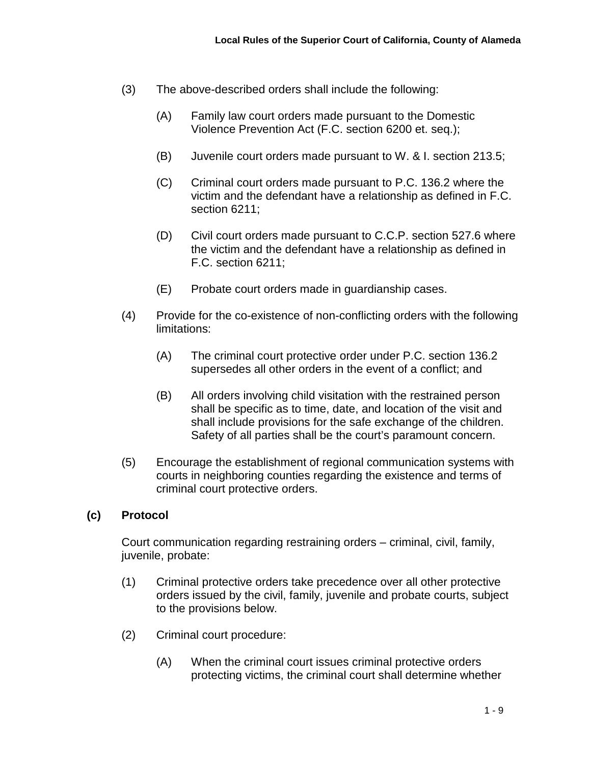- (3) The above-described orders shall include the following:
	- (A) Family law court orders made pursuant to the Domestic Violence Prevention Act (F.C. section 6200 et. seq.);
	- (B) Juvenile court orders made pursuant to W. & I. section 213.5;
	- (C) Criminal court orders made pursuant to P.C. 136.2 where the victim and the defendant have a relationship as defined in F.C. section 6211;
	- (D) Civil court orders made pursuant to C.C.P. section 527.6 where the victim and the defendant have a relationship as defined in F.C. section 6211;
	- (E) Probate court orders made in guardianship cases.
- (4) Provide for the co-existence of non-conflicting orders with the following limitations:
	- (A) The criminal court protective order under P.C. section 136.2 supersedes all other orders in the event of a conflict; and
	- (B) All orders involving child visitation with the restrained person shall be specific as to time, date, and location of the visit and shall include provisions for the safe exchange of the children. Safety of all parties shall be the court's paramount concern.
- (5) Encourage the establishment of regional communication systems with courts in neighboring counties regarding the existence and terms of criminal court protective orders.

#### **(c) Protocol**

Court communication regarding restraining orders – criminal, civil, family, juvenile, probate:

- (1) Criminal protective orders take precedence over all other protective orders issued by the civil, family, juvenile and probate courts, subject to the provisions below.
- (2) Criminal court procedure:
	- (A) When the criminal court issues criminal protective orders protecting victims, the criminal court shall determine whether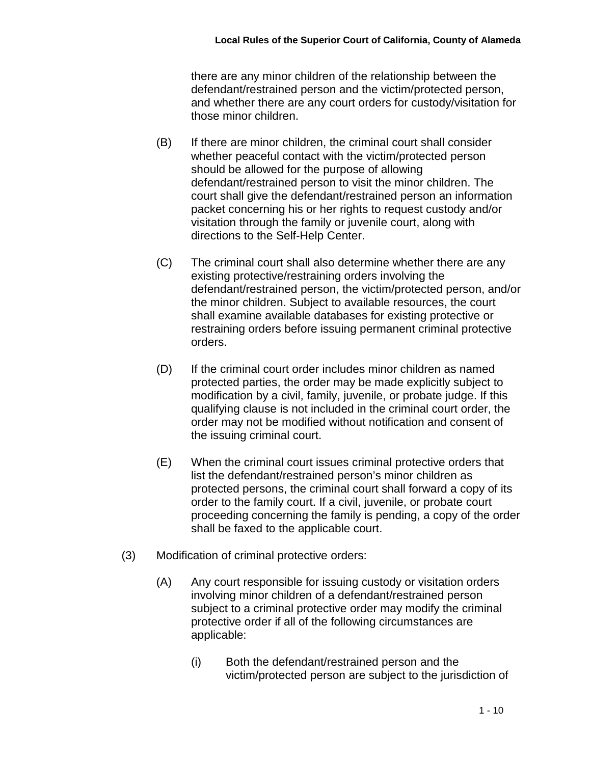there are any minor children of the relationship between the defendant/restrained person and the victim/protected person, and whether there are any court orders for custody/visitation for those minor children.

- (B) If there are minor children, the criminal court shall consider whether peaceful contact with the victim/protected person should be allowed for the purpose of allowing defendant/restrained person to visit the minor children. The court shall give the defendant/restrained person an information packet concerning his or her rights to request custody and/or visitation through the family or juvenile court, along with directions to the Self-Help Center.
- (C) The criminal court shall also determine whether there are any existing protective/restraining orders involving the defendant/restrained person, the victim/protected person, and/or the minor children. Subject to available resources, the court shall examine available databases for existing protective or restraining orders before issuing permanent criminal protective orders.
- (D) If the criminal court order includes minor children as named protected parties, the order may be made explicitly subject to modification by a civil, family, juvenile, or probate judge. If this qualifying clause is not included in the criminal court order, the order may not be modified without notification and consent of the issuing criminal court.
- (E) When the criminal court issues criminal protective orders that list the defendant/restrained person's minor children as protected persons, the criminal court shall forward a copy of its order to the family court. If a civil, juvenile, or probate court proceeding concerning the family is pending, a copy of the order shall be faxed to the applicable court.
- (3) Modification of criminal protective orders:
	- (A) Any court responsible for issuing custody or visitation orders involving minor children of a defendant/restrained person subject to a criminal protective order may modify the criminal protective order if all of the following circumstances are applicable:
		- (i) Both the defendant/restrained person and the victim/protected person are subject to the jurisdiction of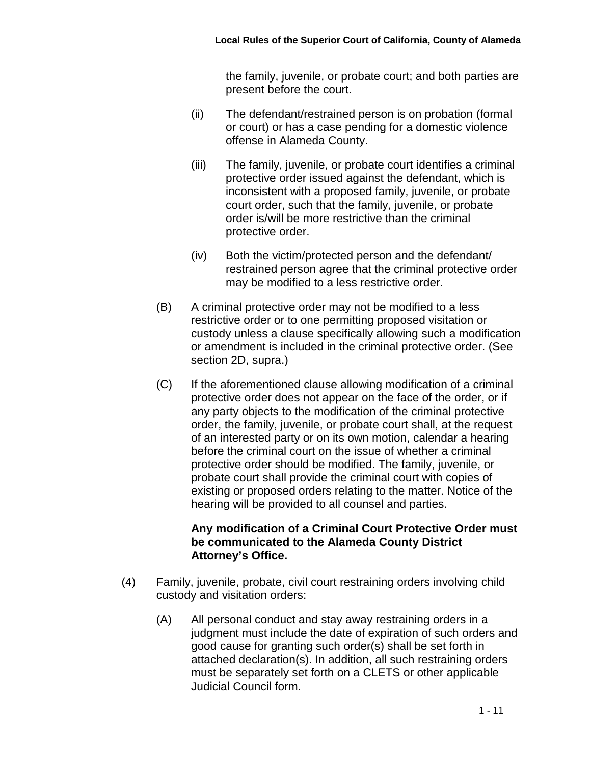the family, juvenile, or probate court; and both parties are present before the court.

- (ii) The defendant/restrained person is on probation (formal or court) or has a case pending for a domestic violence offense in Alameda County.
- (iii) The family, juvenile, or probate court identifies a criminal protective order issued against the defendant, which is inconsistent with a proposed family, juvenile, or probate court order, such that the family, juvenile, or probate order is/will be more restrictive than the criminal protective order.
- (iv) Both the victim/protected person and the defendant/ restrained person agree that the criminal protective order may be modified to a less restrictive order.
- (B) A criminal protective order may not be modified to a less restrictive order or to one permitting proposed visitation or custody unless a clause specifically allowing such a modification or amendment is included in the criminal protective order. (See section 2D, supra.)
- (C) If the aforementioned clause allowing modification of a criminal protective order does not appear on the face of the order, or if any party objects to the modification of the criminal protective order, the family, juvenile, or probate court shall, at the request of an interested party or on its own motion, calendar a hearing before the criminal court on the issue of whether a criminal protective order should be modified. The family, juvenile, or probate court shall provide the criminal court with copies of existing or proposed orders relating to the matter. Notice of the hearing will be provided to all counsel and parties.

## **Any modification of a Criminal Court Protective Order must be communicated to the Alameda County District Attorney's Office.**

- (4) Family, juvenile, probate, civil court restraining orders involving child custody and visitation orders:
	- (A) All personal conduct and stay away restraining orders in a judgment must include the date of expiration of such orders and good cause for granting such order(s) shall be set forth in attached declaration(s). In addition, all such restraining orders must be separately set forth on a CLETS or other applicable Judicial Council form.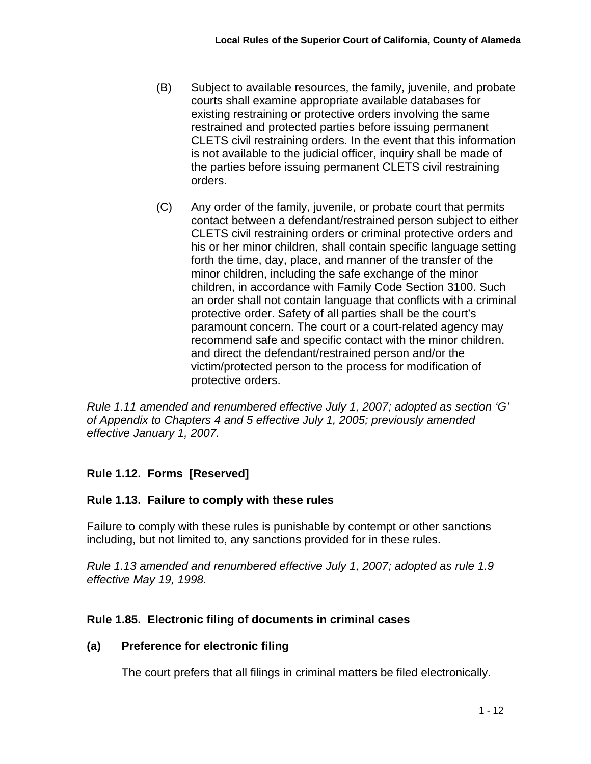- (B) Subject to available resources, the family, juvenile, and probate courts shall examine appropriate available databases for existing restraining or protective orders involving the same restrained and protected parties before issuing permanent CLETS civil restraining orders. In the event that this information is not available to the judicial officer, inquiry shall be made of the parties before issuing permanent CLETS civil restraining orders.
- (C) Any order of the family, juvenile, or probate court that permits contact between a defendant/restrained person subject to either CLETS civil restraining orders or criminal protective orders and his or her minor children, shall contain specific language setting forth the time, day, place, and manner of the transfer of the minor children, including the safe exchange of the minor children, in accordance with Family Code Section 3100. Such an order shall not contain language that conflicts with a criminal protective order. Safety of all parties shall be the court's paramount concern. The court or a court-related agency may recommend safe and specific contact with the minor children. and direct the defendant/restrained person and/or the victim/protected person to the process for modification of protective orders.

*Rule 1.11 amended and renumbered effective July 1, 2007; adopted as section 'G' of Appendix to Chapters 4 and 5 effective July 1, 2005; previously amended effective January 1, 2007.*

# **Rule 1.12. Forms [Reserved]**

# **Rule 1.13. Failure to comply with these rules**

Failure to comply with these rules is punishable by contempt or other sanctions including, but not limited to, any sanctions provided for in these rules.

*Rule 1.13 amended and renumbered effective July 1, 2007; adopted as rule 1.9 effective May 19, 1998.*

# **Rule 1.85. Electronic filing of documents in criminal cases**

## **(a) Preference for electronic filing**

The court prefers that all filings in criminal matters be filed electronically.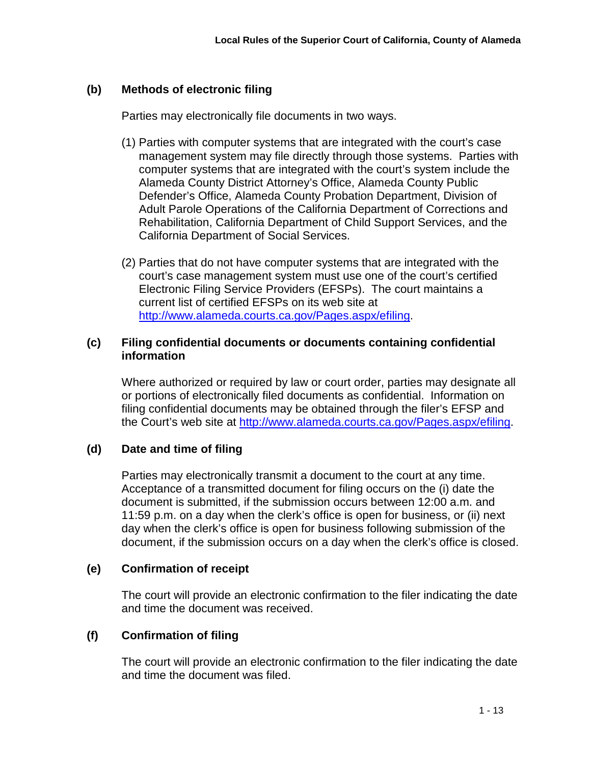# **(b) Methods of electronic filing**

Parties may electronically file documents in two ways.

- (1) Parties with computer systems that are integrated with the court's case management system may file directly through those systems. Parties with computer systems that are integrated with the court's system include the Alameda County District Attorney's Office, Alameda County Public Defender's Office, Alameda County Probation Department, Division of Adult Parole Operations of the California Department of Corrections and Rehabilitation, California Department of Child Support Services, and the California Department of Social Services.
- (2) Parties that do not have computer systems that are integrated with the court's case management system must use one of the court's certified Electronic Filing Service Providers (EFSPs). The court maintains a current list of certified EFSPs on its web site at [http://www.alameda.courts.ca.gov/Pages.aspx/efiling.](http://www.alameda.courts.ca.gov/Pages.aspx/efiling)

### **(c) Filing confidential documents or documents containing confidential information**

Where authorized or required by law or court order, parties may designate all or portions of electronically filed documents as confidential. Information on filing confidential documents may be obtained through the filer's EFSP and the Court's web site at [http://www.alameda.courts.ca.gov/Pages.aspx/efiling.](http://www.alameda.courts.ca.gov/Pages.aspx/efiling)

## **(d) Date and time of filing**

Parties may electronically transmit a document to the court at any time. Acceptance of a transmitted document for filing occurs on the (i) date the document is submitted, if the submission occurs between 12:00 a.m. and 11:59 p.m. on a day when the clerk's office is open for business, or (ii) next day when the clerk's office is open for business following submission of the document, if the submission occurs on a day when the clerk's office is closed.

## **(e) Confirmation of receipt**

The court will provide an electronic confirmation to the filer indicating the date and time the document was received.

## **(f) Confirmation of filing**

The court will provide an electronic confirmation to the filer indicating the date and time the document was filed.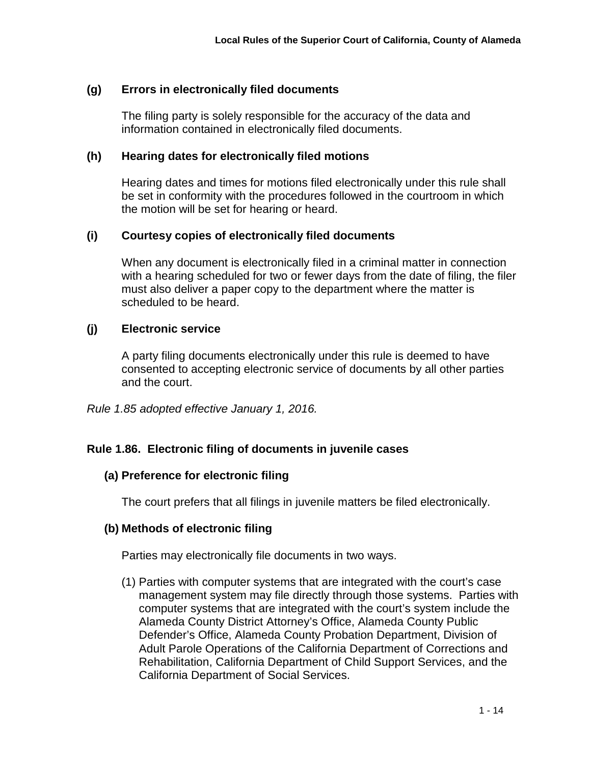## **(g) Errors in electronically filed documents**

The filing party is solely responsible for the accuracy of the data and information contained in electronically filed documents.

#### **(h) Hearing dates for electronically filed motions**

Hearing dates and times for motions filed electronically under this rule shall be set in conformity with the procedures followed in the courtroom in which the motion will be set for hearing or heard.

## **(i) Courtesy copies of electronically filed documents**

When any document is electronically filed in a criminal matter in connection with a hearing scheduled for two or fewer days from the date of filing, the filer must also deliver a paper copy to the department where the matter is scheduled to be heard.

## **(j) Electronic service**

A party filing documents electronically under this rule is deemed to have consented to accepting electronic service of documents by all other parties and the court.

*Rule 1.85 adopted effective January 1, 2016.*

## **Rule 1.86. Electronic filing of documents in juvenile cases**

## **(a) Preference for electronic filing**

The court prefers that all filings in juvenile matters be filed electronically.

## **(b) Methods of electronic filing**

Parties may electronically file documents in two ways.

(1) Parties with computer systems that are integrated with the court's case management system may file directly through those systems. Parties with computer systems that are integrated with the court's system include the Alameda County District Attorney's Office, Alameda County Public Defender's Office, Alameda County Probation Department, Division of Adult Parole Operations of the California Department of Corrections and Rehabilitation, California Department of Child Support Services, and the California Department of Social Services.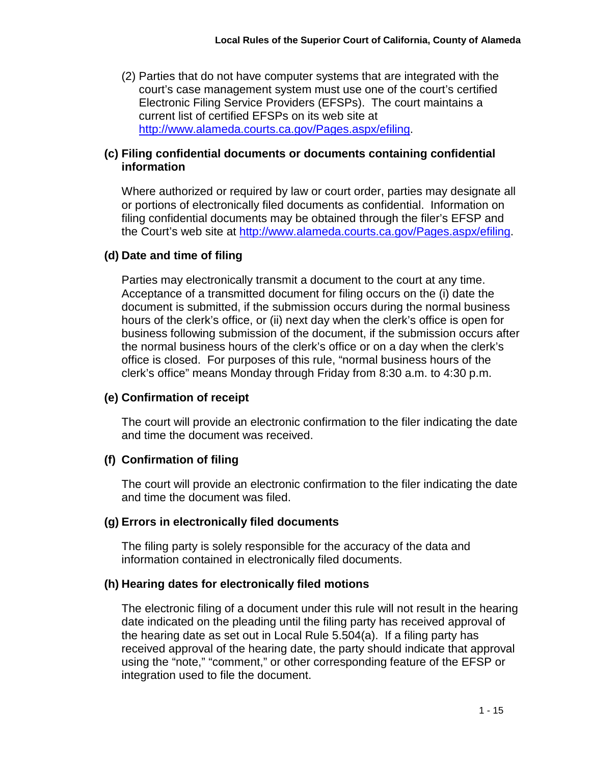(2) Parties that do not have computer systems that are integrated with the court's case management system must use one of the court's certified Electronic Filing Service Providers (EFSPs). The court maintains a current list of certified EFSPs on its web site at [http://www.alameda.courts.ca.gov/Pages.aspx/efiling.](http://www.alameda.courts.ca.gov/Pages.aspx/efiling)

## **(c) Filing confidential documents or documents containing confidential information**

Where authorized or required by law or court order, parties may designate all or portions of electronically filed documents as confidential. Information on filing confidential documents may be obtained through the filer's EFSP and the Court's web site at [http://www.alameda.courts.ca.gov/Pages.aspx/efiling.](http://www.alameda.courts.ca.gov/Pages.aspx/efiling)

## **(d) Date and time of filing**

Parties may electronically transmit a document to the court at any time. Acceptance of a transmitted document for filing occurs on the (i) date the document is submitted, if the submission occurs during the normal business hours of the clerk's office, or (ii) next day when the clerk's office is open for business following submission of the document, if the submission occurs after the normal business hours of the clerk's office or on a day when the clerk's office is closed. For purposes of this rule, "normal business hours of the clerk's office" means Monday through Friday from 8:30 a.m. to 4:30 p.m.

# **(e) Confirmation of receipt**

The court will provide an electronic confirmation to the filer indicating the date and time the document was received.

# **(f) Confirmation of filing**

The court will provide an electronic confirmation to the filer indicating the date and time the document was filed.

# **(g) Errors in electronically filed documents**

The filing party is solely responsible for the accuracy of the data and information contained in electronically filed documents.

## **(h) Hearing dates for electronically filed motions**

The electronic filing of a document under this rule will not result in the hearing date indicated on the pleading until the filing party has received approval of the hearing date as set out in Local Rule 5.504(a). If a filing party has received approval of the hearing date, the party should indicate that approval using the "note," "comment," or other corresponding feature of the EFSP or integration used to file the document.